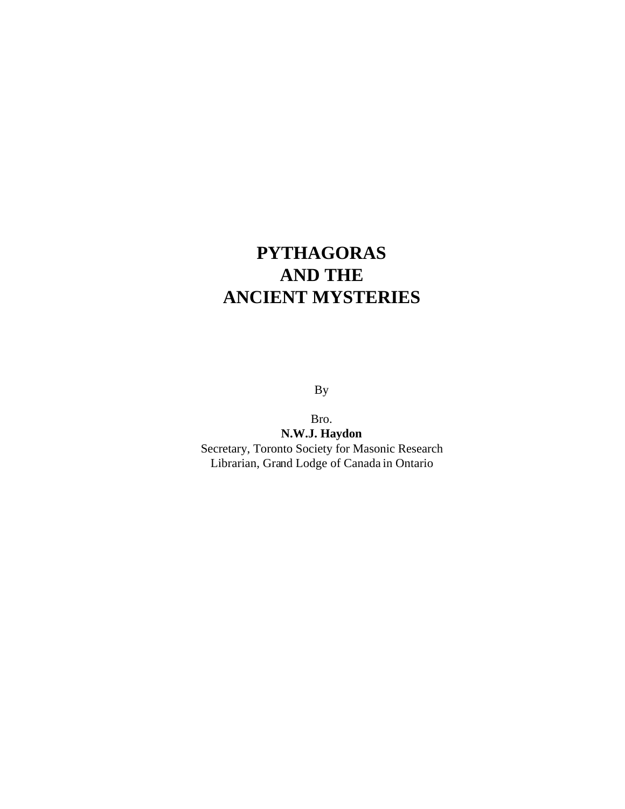## **PYTHAGORAS AND THE ANCIENT MYSTERIES**

By

Bro. **N.W.J. Haydon** Secretary, Toronto Society for Masonic Research Librarian, Grand Lodge of Canada in Ontario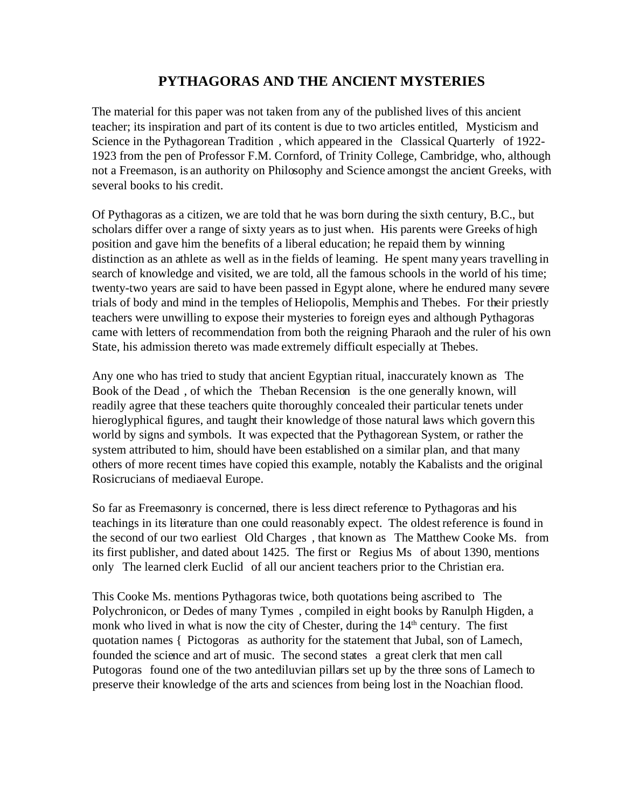## **PYTHAGORAS AND THE ANCIENT MYSTERIES**

The material for this paper was not taken from any of the published lives of this ancient teacher; its inspiration and part of its content is due to two articles entitled, Mysticism and Science in the Pythagorean Tradition, which appeared in the Classical Quarterly of 1922-1923 from the pen of Professor F.M. Cornford, of Trinity College, Cambridge, who, although not a Freemason, is an authority on Philosophy and Science amongst the ancient Greeks, with several books to his credit.

Of Pythagoras as a citizen, we are told that he was born during the sixth century, B.C., but scholars differ over a range of sixty years as to just when. His parents were Greeks of high position and gave him the benefits of a liberal education; he repaid them by winning distinction as an athlete as well as in the fields of learning. He spent many years travelling in search of knowledge and visited, we are told, all the famous schools in the world of his time; twenty-two years are said to have been passed in Egypt alone, where he endured many severe trials of body and mind in the temples of Heliopolis, Memphis and Thebes. For their priestly teachers were unwilling to expose their mysteries to foreign eyes and although Pythagoras came with letters of recommendation from both the reigning Pharaoh and the ruler of his own State, his admission thereto was made extremely difficult especially at Thebes.

Any one who has tried to study that ancient Egyptian ritual, inaccurately known as The Book of the Dead , of which the Theban Recension is the one generally known, will readily agree that these teachers quite thoroughly concealed their particular tenets under hieroglyphical figures, and taught their knowledge of those natural laws which govern this world by signs and symbols. It was expected that the Pythagorean System, or rather the system attributed to him, should have been established on a similar plan, and that many others of more recent times have copied this example, notably the Kabalists and the original Rosicrucians of mediaeval Europe.

So far as Freemasonry is concerned, there is less direct reference to Pythagoras and his teachings in its literature than one could reasonably expect. The oldest reference is found in the second of our two earliest Old Charges , that known as The Matthew Cooke Ms. from its first publisher, and dated about 1425. The first or Regius Ms of about 1390, mentions only The learned clerk Euclid of all our ancient teachers prior to the Christian era.

This Cooke Ms. mentions Pythagoras twice, both quotations being ascribed to The Polychronicon, or Dedes of many Tymes , compiled in eight books by Ranulph Higden, a monk who lived in what is now the city of Chester, during the 14<sup>th</sup> century. The first quotation names { Pictogoras as authority for the statement that Jubal, son of Lamech, founded the science and art of music. The second states a great clerk that men call Putogoras found one of the two antediluvian pillars set up by the three sons of Lamech to preserve their knowledge of the arts and sciences from being lost in the Noachian flood.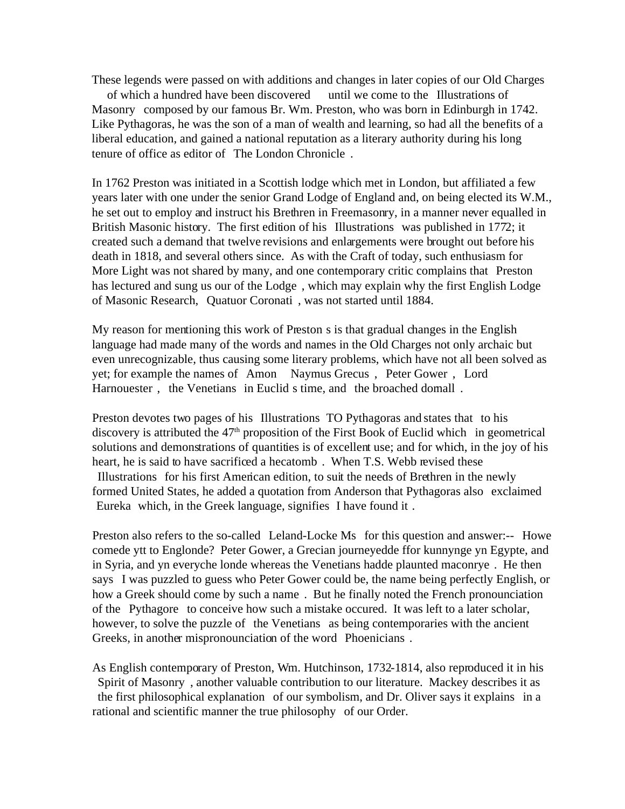These legends were passed on with additions and changes in later copies of our Old Charges

 of which a hundred have been discovered until we come to the Illustrations of Masonry composed by our famous Br. Wm. Preston, who was born in Edinburgh in 1742. Like Pythagoras, he was the son of a man of wealth and learning, so had all the benefits of a liberal education, and gained a national reputation as a literary authority during his long tenure of office as editor of The London Chronicle .

In 1762 Preston was initiated in a Scottish lodge which met in London, but affiliated a few years later with one under the senior Grand Lodge of England and, on being elected its W.M., he set out to employ and instruct his Brethren in Freemasonry, in a manner never equalled in British Masonic history. The first edition of his Illustrations was published in 1772; it created such a demand that twelve revisions and enlargements were brought out before his death in 1818, and several others since. As with the Craft of today, such enthusiasm for More Light was not shared by many, and one contemporary critic complains that Preston has lectured and sung us our of the Lodge, which may explain why the first English Lodge of Masonic Research, Quatuor Coronati , was not started until 1884.

My reason for mentioning this work of Preston s is that gradual changes in the English language had made many of the words and names in the Old Charges not only archaic but even unrecognizable, thus causing some literary problems, which have not all been solved as yet; for example the names of Amon Naymus Grecus , Peter Gower , Lord Harnouester, the Venetians in Euclid s time, and the broached domall.

Preston devotes two pages of his Illustrations TO Pythagoras and states that to his discovery is attributed the  $47<sup>th</sup>$  proposition of the First Book of Euclid which in geometrical solutions and demonstrations of quantities is of excellent use; and for which, in the joy of his heart, he is said to have sacrificed a hecatomb. When T.S. Webb revised these Illustrations for his first American edition, to suit the needs of Brethren in the newly formed United States, he added a quotation from Anderson that Pythagoras also exclaimed Eureka which, in the Greek language, signifies I have found it .

Preston also refers to the so-called Leland-Locke Ms for this question and answer:-- Howe comede ytt to Englonde? Peter Gower, a Grecian journeyedde ffor kunnynge yn Egypte, and in Syria, and yn everyche londe whereas the Venetians hadde plaunted maconrye . He then says I was puzzled to guess who Peter Gower could be, the name being perfectly English, or how a Greek should come by such a name. But he finally noted the French pronounciation of the Pythagore to conceive how such a mistake occured. It was left to a later scholar, however, to solve the puzzle of the Venetians as being contemporaries with the ancient Greeks, in another mispronounciation of the word Phoenicians .

As English contemporary of Preston, Wm. Hutchinson, 1732-1814, also reproduced it in his Spirit of Masonry , another valuable contribution to our literature. Mackey describes it as the first philosophical explanation of our symbolism, and Dr. Oliver says it explains in a rational and scientific manner the true philosophy of our Order.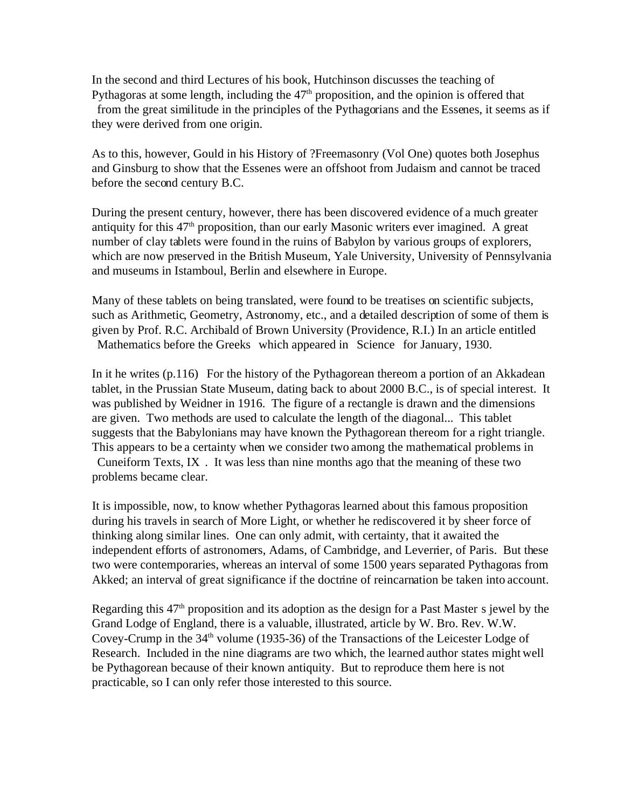In the second and third Lectures of his book, Hutchinson discusses the teaching of Pythagoras at some length, including the  $47<sup>th</sup>$  proposition, and the opinion is offered that from the great similitude in the principles of the Pythagorians and the Essenes, it seems as if they were derived from one origin.

As to this, however, Gould in his History of ?Freemasonry (Vol One) quotes both Josephus and Ginsburg to show that the Essenes were an offshoot from Judaism and cannot be traced before the second century B.C.

During the present century, however, there has been discovered evidence of a much greater antiquity for this  $47<sup>th</sup>$  proposition, than our early Masonic writers ever imagined. A great number of clay tablets were found in the ruins of Babylon by various groups of explorers, which are now preserved in the British Museum, Yale University, University of Pennsylvania and museums in Istamboul, Berlin and elsewhere in Europe.

Many of these tablets on being translated, were found to be treatises on scientific subjects, such as Arithmetic, Geometry, Astronomy, etc., and a detailed description of some of them is given by Prof. R.C. Archibald of Brown University (Providence, R.I.) In an article entitled Mathematics before the Greeks which appeared in Science for January, 1930.

In it he writes (p.116) For the history of the Pythagorean thereom a portion of an Akkadean tablet, in the Prussian State Museum, dating back to about 2000 B.C., is of special interest. It was published by Weidner in 1916. The figure of a rectangle is drawn and the dimensions are given. Two methods are used to calculate the length of the diagonal... This tablet suggests that the Babylonians may have known the Pythagorean thereom for a right triangle. This appears to be a certainty when we consider two among the mathematical problems in Cuneiform Texts, IX . It was less than nine months ago that the meaning of these two problems became clear.

It is impossible, now, to know whether Pythagoras learned about this famous proposition during his travels in search of More Light, or whether he rediscovered it by sheer force of thinking along similar lines. One can only admit, with certainty, that it awaited the independent efforts of astronomers, Adams, of Cambridge, and Leverrier, of Paris. But these two were contemporaries, whereas an interval of some 1500 years separated Pythagoras from Akked; an interval of great significance if the doctrine of reincarnation be taken into account.

Regarding this  $47<sup>th</sup>$  proposition and its adoption as the design for a Past Master s jewel by the Grand Lodge of England, there is a valuable, illustrated, article by W. Bro. Rev. W.W. Covey-Crump in the  $34<sup>th</sup>$  volume (1935-36) of the Transactions of the Leicester Lodge of Research. Included in the nine diagrams are two which, the learned author states might well be Pythagorean because of their known antiquity. But to reproduce them here is not practicable, so I can only refer those interested to this source.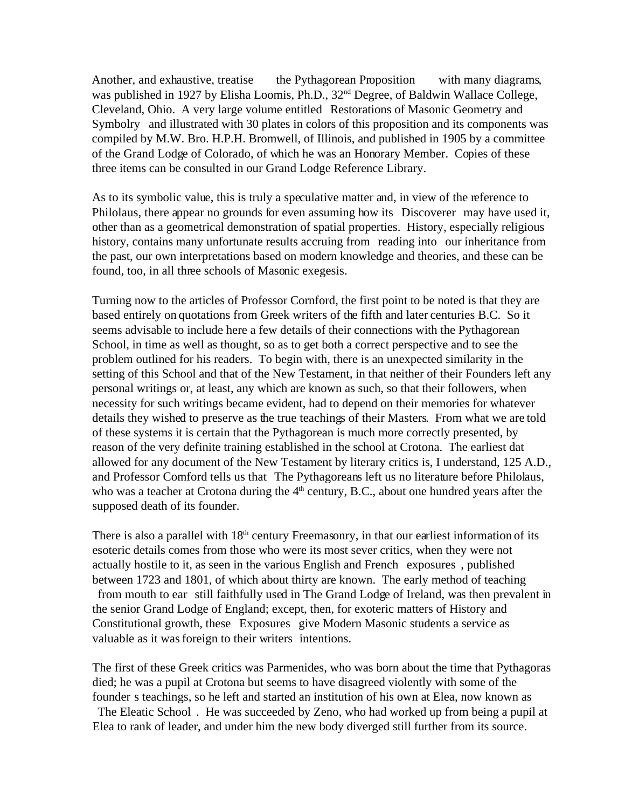Another, and exhaustive, treatise the Pythagorean Proposition with many diagrams, was published in 1927 by Elisha Loomis, Ph.D., 32<sup>nd</sup> Degree, of Baldwin Wallace College, Cleveland, Ohio. A very large volume entitled Restorations of Masonic Geometry and Symbolry and illustrated with 30 plates in colors of this proposition and its components was compiled by M.W. Bro. H.P.H. Bromwell, of Illinois, and published in 1905 by a committee of the Grand Lodge of Colorado, of which he was an Honorary Member. Copies of these three items can be consulted in our Grand Lodge Reference Library.

As to its symbolic value, this is truly a speculative matter and, in view of the reference to Philolaus, there appear no grounds for even assuming how its Discoverer may have used it, other than as a geometrical demonstration of spatial properties. History, especially religious history, contains many unfortunate results accruing from reading into our inheritance from the past, our own interpretations based on modern knowledge and theories, and these can be found, too, in all three schools of Masonic exegesis.

Turning now to the articles of Professor Cornford, the first point to be noted is that they are based entirely on quotations from Greek writers of the fifth and later centuries B.C. So it seems advisable to include here a few details of their connections with the Pythagorean School, in time as well as thought, so as to get both a correct perspective and to see the problem outlined for his readers. To begin with, there is an unexpected similarity in the setting of this School and that of the New Testament, in that neither of their Founders left any personal writings or, at least, any which are known as such, so that their followers, when necessity for such writings became evident, had to depend on their memories for whatever details they wished to preserve as the true teachings of their Masters. From what we are told of these systems it is certain that the Pythagorean is much more correctly presented, by reason of the very definite training established in the school at Crotona. The earliest dat allowed for any document of the New Testament by literary critics is, I understand, 125 A.D., and Professor Cornford tells us that The Pythagoreans left us no literature before Philolaus, who was a teacher at Crotona during the  $4<sup>th</sup>$  century, B.C., about one hundred years after the supposed death of its founder.

There is also a parallel with 18<sup>th</sup> century Freemasonry, in that our earliest information of its esoteric details comes from those who were its most sever critics, when they were not actually hostile to it, as seen in the various English and French exposures , published between 1723 and 1801, of which about thirty are known. The early method of teaching from mouth to ear still faithfully used in The Grand Lodge of Ireland, was then prevalent in the senior Grand Lodge of England; except, then, for exoteric matters of History and Constitutional growth, these Exposures give Modern Masonic students a service as valuable as it was foreign to their writers intentions.

The first of these Greek critics was Parmenides, who was born about the time that Pythagoras died; he was a pupil at Crotona but seems to have disagreed violently with some of the founder s teachings, so he left and started an institution of his own at Elea, now known as The Eleatic School . He was succeeded by Zeno, who had worked up from being a pupil at Elea to rank of leader, and under him the new body diverged still further from its source.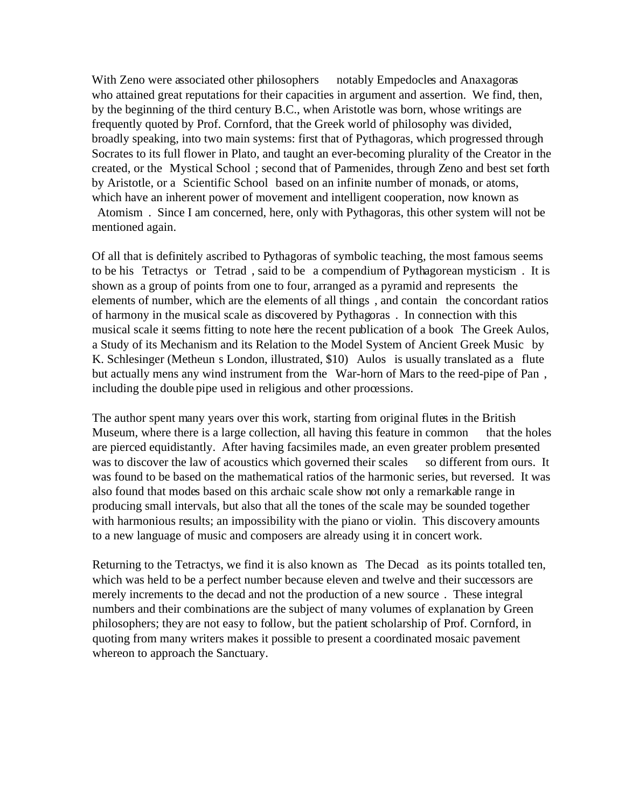With Zeno were associated other philosophers notably Empedocles and Anaxagoras who attained great reputations for their capacities in argument and assertion. We find, then, by the beginning of the third century B.C., when Aristotle was born, whose writings are frequently quoted by Prof. Cornford, that the Greek world of philosophy was divided, broadly speaking, into two main systems: first that of Pythagoras, which progressed through Socrates to its full flower in Plato, and taught an ever-becoming plurality of the Creator in the created, or the Mystical School ; second that of Parmenides, through Zeno and best set forth by Aristotle, or a Scientific School based on an infinite number of monads, or atoms, which have an inherent power of movement and intelligent cooperation, now known as Atomism . Since I am concerned, here, only with Pythagoras, this other system will not be mentioned again.

Of all that is definitely ascribed to Pythagoras of symbolic teaching, the most famous seems to be his Tetractys or Tetrad , said to be a compendium of Pythagorean mysticism . It is shown as a group of points from one to four, arranged as a pyramid and represents the elements of number, which are the elements of all things , and contain the concordant ratios of harmony in the musical scale as discovered by Pythagoras . In connection with this musical scale it seems fitting to note here the recent publication of a book The Greek Aulos, a Study of its Mechanism and its Relation to the Model System of Ancient Greek Music by K. Schlesinger (Metheun s London, illustrated, \$10) Aulos is usually translated as a flute but actually mens any wind instrument from the War-horn of Mars to the reed-pipe of Pan, including the double pipe used in religious and other processions.

The author spent many years over this work, starting from original flutes in the British Museum, where there is a large collection, all having this feature in common that the holes are pierced equidistantly. After having facsimiles made, an even greater problem presented was to discover the law of acoustics which governed their scales so different from ours. It was found to be based on the mathematical ratios of the harmonic series, but reversed. It was also found that modes based on this archaic scale show not only a remarkable range in producing small intervals, but also that all the tones of the scale may be sounded together with harmonious results; an impossibility with the piano or violin. This discovery amounts to a new language of music and composers are already using it in concert work.

Returning to the Tetractys, we find it is also known as The Decad as its points totalled ten, which was held to be a perfect number because eleven and twelve and their successors are merely increments to the decad and not the production of a new source . These integral numbers and their combinations are the subject of many volumes of explanation by Green philosophers; they are not easy to follow, but the patient scholarship of Prof. Cornford, in quoting from many writers makes it possible to present a coordinated mosaic pavement whereon to approach the Sanctuary.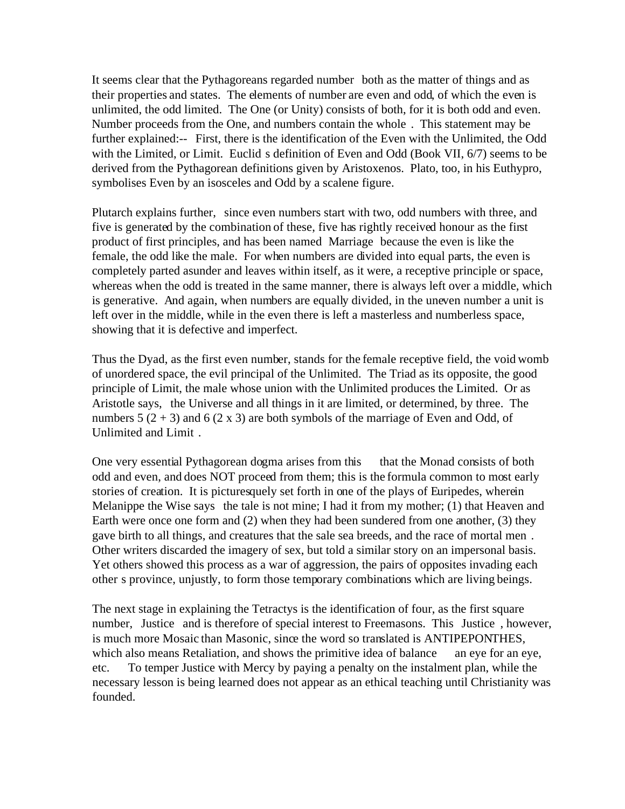It seems clear that the Pythagoreans regarded number both as the matter of things and as their properties and states. The elements of number are even and odd, of which the even is unlimited, the odd limited. The One (or Unity) consists of both, for it is both odd and even. Number proceeds from the One, and numbers contain the whole . This statement may be further explained:-- First, there is the identification of the Even with the Unlimited, the Odd with the Limited, or Limit. Euclid s definition of Even and Odd (Book VII, 6/7) seems to be derived from the Pythagorean definitions given by Aristoxenos. Plato, too, in his Euthypro, symbolises Even by an isosceles and Odd by a scalene figure.

Plutarch explains further, since even numbers start with two, odd numbers with three, and five is generated by the combination of these, five has rightly received honour as the first product of first principles, and has been named Marriage because the even is like the female, the odd like the male. For when numbers are divided into equal parts, the even is completely parted asunder and leaves within itself, as it were, a receptive principle or space, whereas when the odd is treated in the same manner, there is always left over a middle, which is generative. And again, when numbers are equally divided, in the uneven number a unit is left over in the middle, while in the even there is left a masterless and numberless space, showing that it is defective and imperfect.

Thus the Dyad, as the first even number, stands for the female receptive field, the void womb of unordered space, the evil principal of the Unlimited. The Triad as its opposite, the good principle of Limit, the male whose union with the Unlimited produces the Limited. Or as Aristotle says, the Universe and all things in it are limited, or determined, by three. The numbers  $5(2 + 3)$  and  $6(2 \times 3)$  are both symbols of the marriage of Even and Odd, of Unlimited and Limit .

One very essential Pythagorean dogma arises from this that the Monad consists of both odd and even, and does NOT proceed from them; this is the formula common to most early stories of creation. It is picturesquely set forth in one of the plays of Euripedes, wherein Melanippe the Wise says the tale is not mine; I had it from my mother; (1) that Heaven and Earth were once one form and (2) when they had been sundered from one another, (3) they gave birth to all things, and creatures that the sale sea breeds, and the race of mortal men . Other writers discarded the imagery of sex, but told a similar story on an impersonal basis. Yet others showed this process as a war of aggression, the pairs of opposites invading each other s province, unjustly, to form those temporary combinations which are living beings.

The next stage in explaining the Tetractys is the identification of four, as the first square number, Justice and is therefore of special interest to Freemasons. This Justice , however, is much more Mosaic than Masonic, since the word so translated is ANTIPEPONTHES, which also means Retaliation, and shows the primitive idea of balance an eye for an eye, etc. To temper Justice with Mercy by paying a penalty on the instalment plan, while the necessary lesson is being learned does not appear as an ethical teaching until Christianity was founded.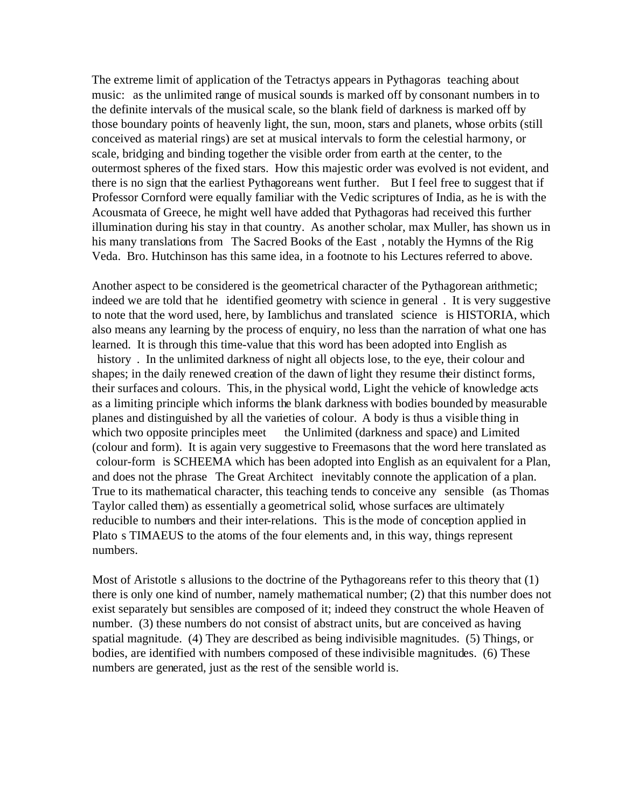The extreme limit of application of the Tetractys appears in Pythagoras teaching about music: as the unlimited range of musical sounds is marked off by consonant numbers in to the definite intervals of the musical scale, so the blank field of darkness is marked off by those boundary points of heavenly light, the sun, moon, stars and planets, whose orbits (still conceived as material rings) are set at musical intervals to form the celestial harmony, or scale, bridging and binding together the visible order from earth at the center, to the outermost spheres of the fixed stars. How this majestic order was evolved is not evident, and there is no sign that the earliest Pythagoreans went further. But I feel free to suggest that if Professor Cornford were equally familiar with the Vedic scriptures of India, as he is with the Acousmata of Greece, he might well have added that Pythagoras had received this further illumination during his stay in that country. As another scholar, max Muller, has shown us in his many translations from The Sacred Books of the East, notably the Hymns of the Rig Veda. Bro. Hutchinson has this same idea, in a footnote to his Lectures referred to above.

Another aspect to be considered is the geometrical character of the Pythagorean arithmetic; indeed we are told that he identified geometry with science in general . It is very suggestive to note that the word used, here, by Iamblichus and translated science is HISTORIA, which also means any learning by the process of enquiry, no less than the narration of what one has learned. It is through this time-value that this word has been adopted into English as history. In the unlimited darkness of night all objects lose, to the eye, their colour and shapes; in the daily renewed creation of the dawn of light they resume their distinct forms, their surfaces and colours. This, in the physical world, Light the vehicle of knowledge acts as a limiting principle which informs the blank darkness with bodies bounded by measurable planes and distinguished by all the varieties of colour. A body is thus a visible thing in which two opposite principles meet the Unlimited (darkness and space) and Limited (colour and form). It is again very suggestive to Freemasons that the word here translated as colour-form is SCHEEMA which has been adopted into English as an equivalent for a Plan, and does not the phrase The Great Architect inevitably connote the application of a plan. True to its mathematical character, this teaching tends to conceive any sensible (as Thomas Taylor called them) as essentially a geometrical solid, whose surfaces are ultimately reducible to numbers and their inter-relations. This is the mode of conception applied in Plato s TIMAEUS to the atoms of the four elements and, in this way, things represent numbers.

Most of Aristotle s allusions to the doctrine of the Pythagoreans refer to this theory that (1) there is only one kind of number, namely mathematical number; (2) that this number does not exist separately but sensibles are composed of it; indeed they construct the whole Heaven of number. (3) these numbers do not consist of abstract units, but are conceived as having spatial magnitude. (4) They are described as being indivisible magnitudes. (5) Things, or bodies, are identified with numbers composed of these indivisible magnitudes. (6) These numbers are generated, just as the rest of the sensible world is.